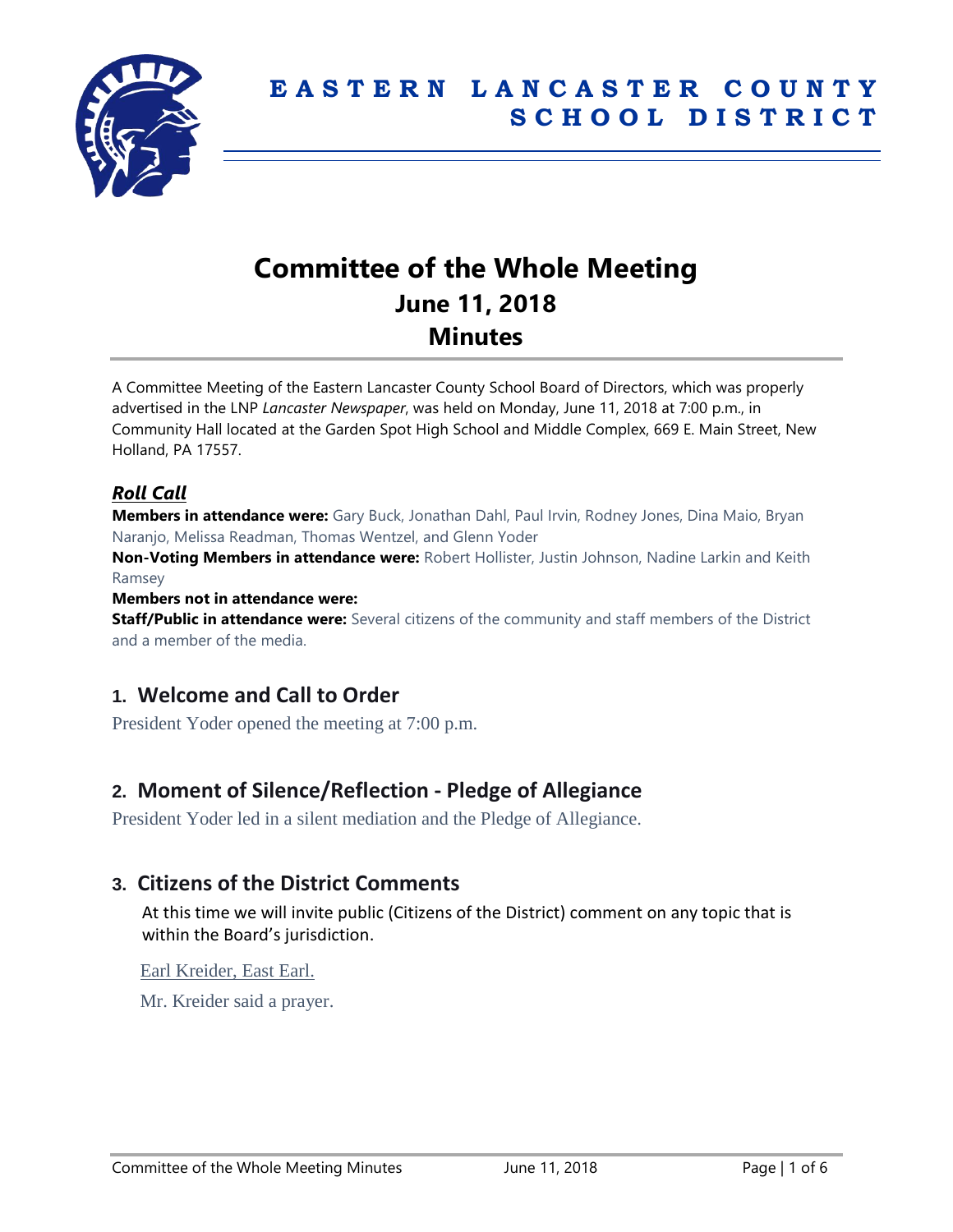

# **Committee of the Whole Meeting June 11, 2018 Minutes**

A Committee Meeting of the Eastern Lancaster County School Board of Directors, which was properly advertised in the LNP *Lancaster Newspaper*, was held on Monday, June 11, 2018 at 7:00 p.m., in Community Hall located at the Garden Spot High School and Middle Complex, 669 E. Main Street, New Holland, PA 17557.

### *Roll Call*

**Members in attendance were:** Gary Buck, Jonathan Dahl, Paul Irvin, Rodney Jones, Dina Maio, Bryan Naranjo, Melissa Readman, Thomas Wentzel, and Glenn Yoder

**Non-Voting Members in attendance were:** Robert Hollister, Justin Johnson, Nadine Larkin and Keith Ramsey

#### **Members not in attendance were:**

**Staff/Public in attendance were:** Several citizens of the community and staff members of the District and a member of the media.

# **1. Welcome and Call to Order**

President Yoder opened the meeting at 7:00 p.m.

# **2. Moment of Silence/Reflection - Pledge of Allegiance**

President Yoder led in a silent mediation and the Pledge of Allegiance.

### **3. Citizens of the District Comments**

At this time we will invite public (Citizens of the District) comment on any topic that is within the Board's jurisdiction.

#### Earl Kreider, East Earl.

Mr. Kreider said a prayer.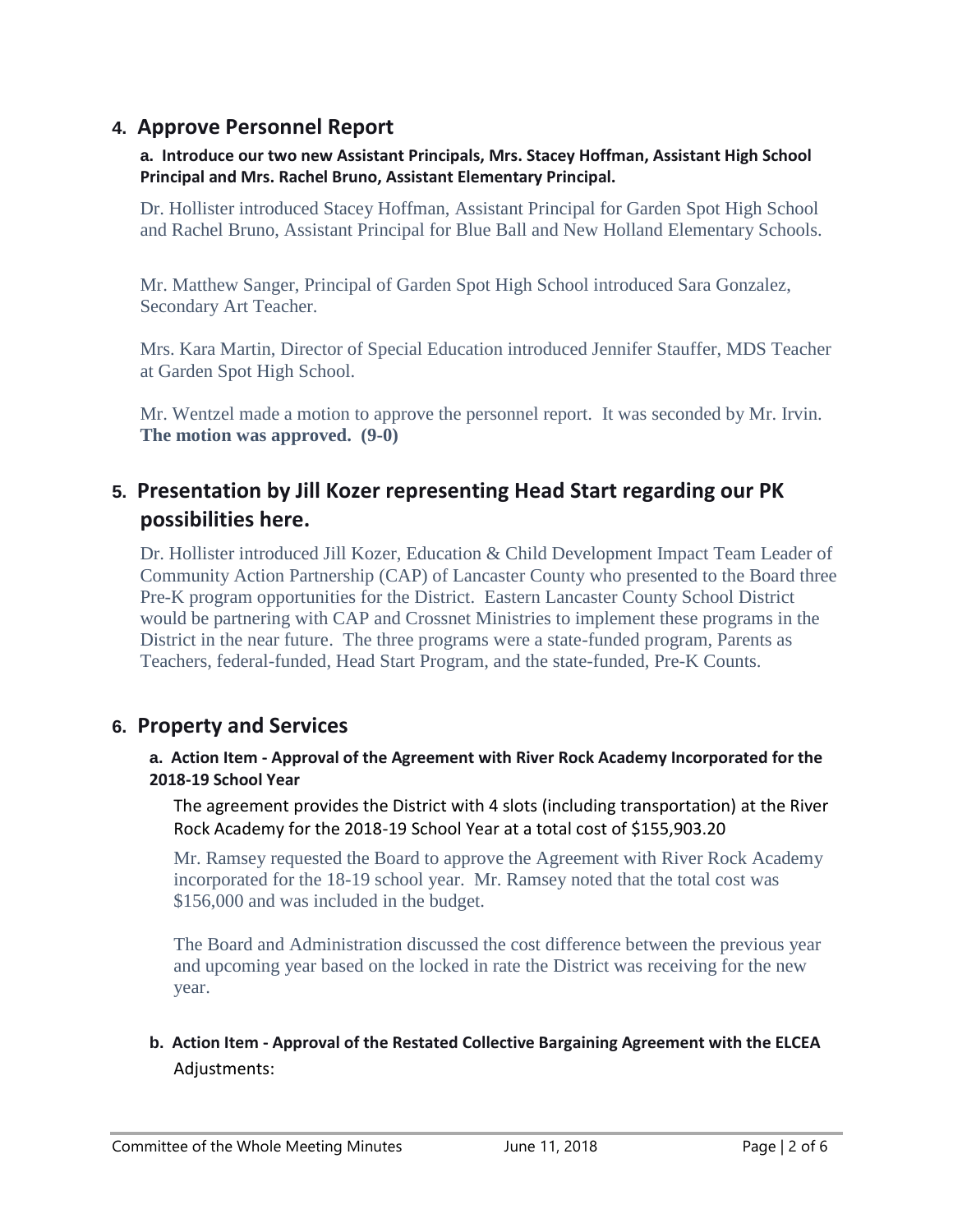# **4. Approve Personnel Report**

#### **a. Introduce our two new Assistant Principals, Mrs. Stacey Hoffman, Assistant High School Principal and Mrs. Rachel Bruno, Assistant Elementary Principal.**

Dr. Hollister introduced Stacey Hoffman, Assistant Principal for Garden Spot High School and Rachel Bruno, Assistant Principal for Blue Ball and New Holland Elementary Schools.

Mr. Matthew Sanger, Principal of Garden Spot High School introduced Sara Gonzalez, Secondary Art Teacher.

Mrs. Kara Martin, Director of Special Education introduced Jennifer Stauffer, MDS Teacher at Garden Spot High School.

Mr. Wentzel made a motion to approve the personnel report. It was seconded by Mr. Irvin. **The motion was approved. (9-0)**

# **5. Presentation by Jill Kozer representing Head Start regarding our PK possibilities here.**

Dr. Hollister introduced Jill Kozer, Education & Child Development Impact Team Leader of Community Action Partnership (CAP) of Lancaster County who presented to the Board three Pre-K program opportunities for the District. Eastern Lancaster County School District would be partnering with CAP and Crossnet Ministries to implement these programs in the District in the near future. The three programs were a state-funded program, Parents as Teachers, federal-funded, Head Start Program, and the state-funded, Pre-K Counts.

# **6. Property and Services**

#### **a. Action Item - Approval of the Agreement with River Rock Academy Incorporated for the 2018-19 School Year**

The agreement provides the District with 4 slots (including transportation) at the River Rock Academy for the 2018-19 School Year at a total cost of \$155,903.20

Mr. Ramsey requested the Board to approve the Agreement with River Rock Academy incorporated for the 18-19 school year. Mr. Ramsey noted that the total cost was \$156,000 and was included in the budget.

The Board and Administration discussed the cost difference between the previous year and upcoming year based on the locked in rate the District was receiving for the new year.

## **b. Action Item - Approval of the Restated Collective Bargaining Agreement with the ELCEA** Adjustments: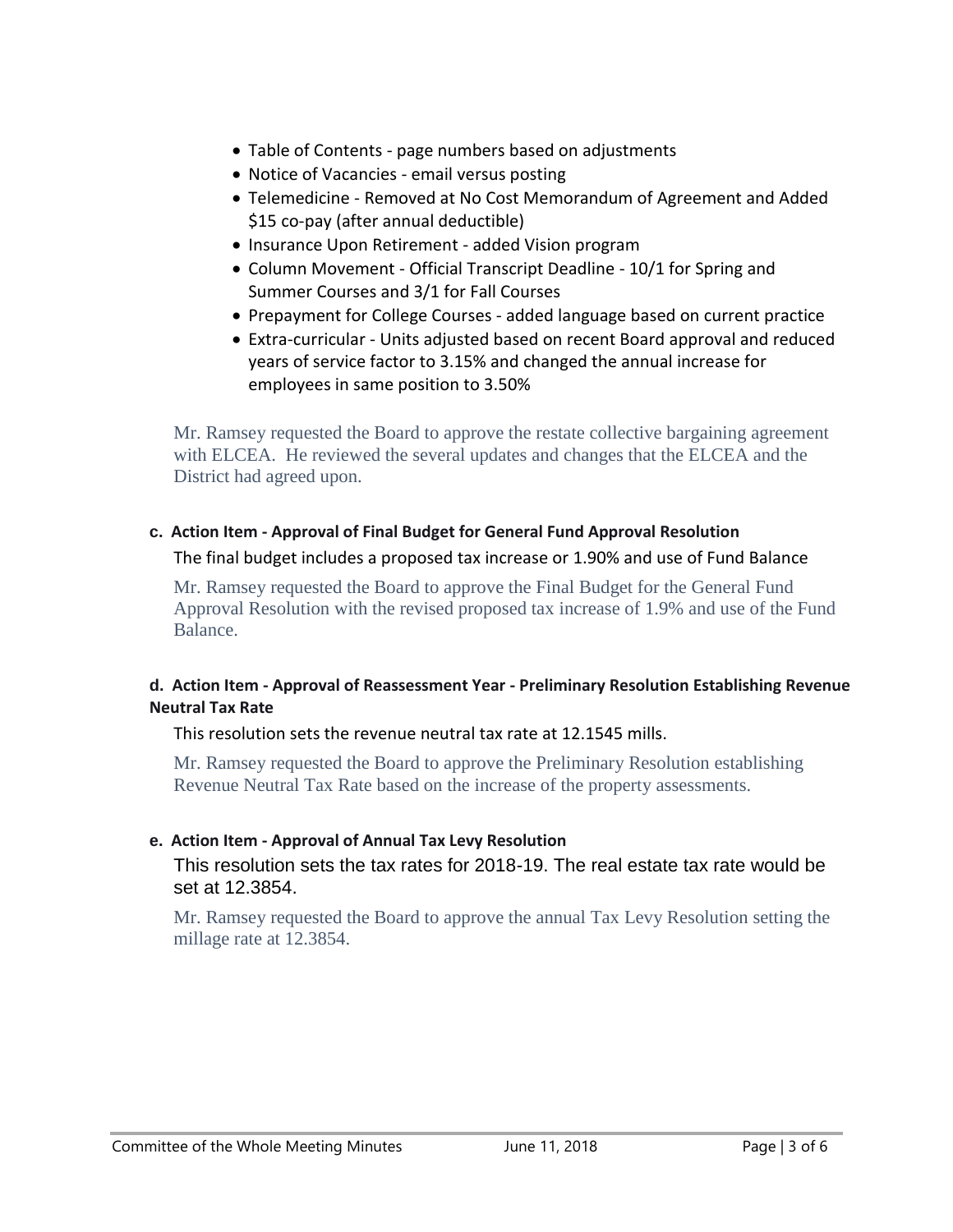- Table of Contents page numbers based on adjustments
- Notice of Vacancies email versus posting
- Telemedicine Removed at No Cost Memorandum of Agreement and Added \$15 co-pay (after annual deductible)
- Insurance Upon Retirement added Vision program
- Column Movement Official Transcript Deadline 10/1 for Spring and Summer Courses and 3/1 for Fall Courses
- Prepayment for College Courses added language based on current practice
- Extra-curricular Units adjusted based on recent Board approval and reduced years of service factor to 3.15% and changed the annual increase for employees in same position to 3.50%

Mr. Ramsey requested the Board to approve the restate collective bargaining agreement with ELCEA. He reviewed the several updates and changes that the ELCEA and the District had agreed upon.

#### **c. Action Item - Approval of Final Budget for General Fund Approval Resolution**

#### The final budget includes a proposed tax increase or 1.90% and use of Fund Balance

Mr. Ramsey requested the Board to approve the Final Budget for the General Fund Approval Resolution with the revised proposed tax increase of 1.9% and use of the Fund Balance.

#### **d. Action Item - Approval of Reassessment Year - Preliminary Resolution Establishing Revenue Neutral Tax Rate**

This resolution sets the revenue neutral tax rate at 12.1545 mills.

Mr. Ramsey requested the Board to approve the Preliminary Resolution establishing Revenue Neutral Tax Rate based on the increase of the property assessments.

#### **e. Action Item - Approval of Annual Tax Levy Resolution**

This resolution sets the tax rates for 2018-19. The real estate tax rate would be set at 12.3854.

Mr. Ramsey requested the Board to approve the annual Tax Levy Resolution setting the millage rate at 12.3854.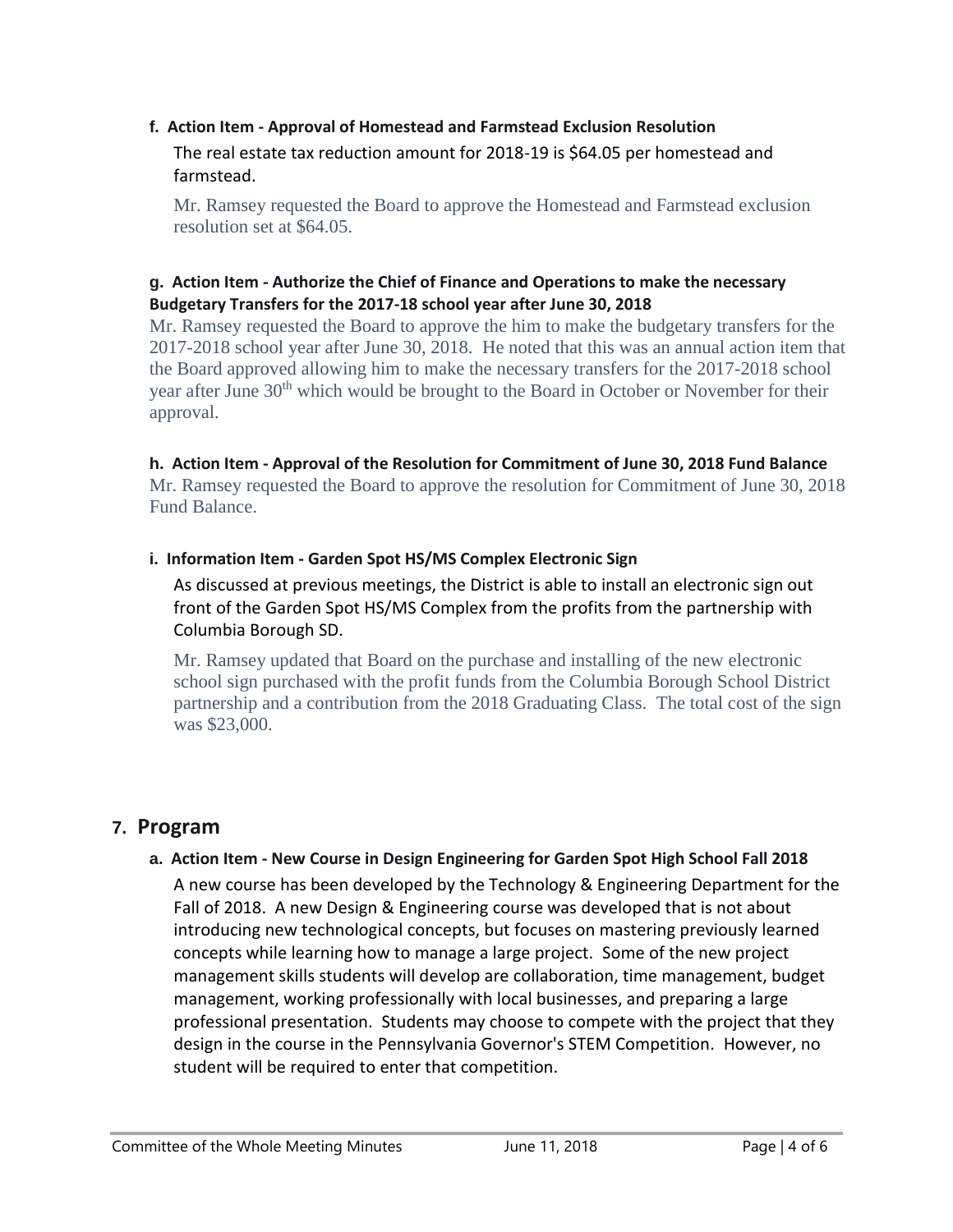## **f. Action Item - Approval of Homestead and Farmstead Exclusion Resolution** The real estate tax reduction amount for 2018-19 is \$64.05 per homestead and farmstead.

Mr. Ramsey requested the Board to approve the Homestead and Farmstead exclusion resolution set at \$64.05.

#### **g. Action Item - Authorize the Chief of Finance and Operations to make the necessary Budgetary Transfers for the 2017-18 school year after June 30, 2018**

Mr. Ramsey requested the Board to approve the him to make the budgetary transfers for the 2017-2018 school year after June 30, 2018. He noted that this was an annual action item that the Board approved allowing him to make the necessary transfers for the 2017-2018 school year after June 30<sup>th</sup> which would be brought to the Board in October or November for their approval.

#### **h. Action Item - Approval of the Resolution for Commitment of June 30, 2018 Fund Balance**

Mr. Ramsey requested the Board to approve the resolution for Commitment of June 30, 2018 Fund Balance.

#### **i. Information Item - Garden Spot HS/MS Complex Electronic Sign**

As discussed at previous meetings, the District is able to install an electronic sign out front of the Garden Spot HS/MS Complex from the profits from the partnership with Columbia Borough SD.

Mr. Ramsey updated that Board on the purchase and installing of the new electronic school sign purchased with the profit funds from the Columbia Borough School District partnership and a contribution from the 2018 Graduating Class. The total cost of the sign was \$23,000.

# **7. Program**

### **a. Action Item - New Course in Design Engineering for Garden Spot High School Fall 2018**

A new course has been developed by the Technology & Engineering Department for the Fall of 2018. A new Design & Engineering course was developed that is not about introducing new technological concepts, but focuses on mastering previously learned concepts while learning how to manage a large project. Some of the new project management skills students will develop are collaboration, time management, budget management, working professionally with local businesses, and preparing a large professional presentation. Students may choose to compete with the project that they design in the course in the Pennsylvania Governor's STEM Competition. However, no student will be required to enter that competition.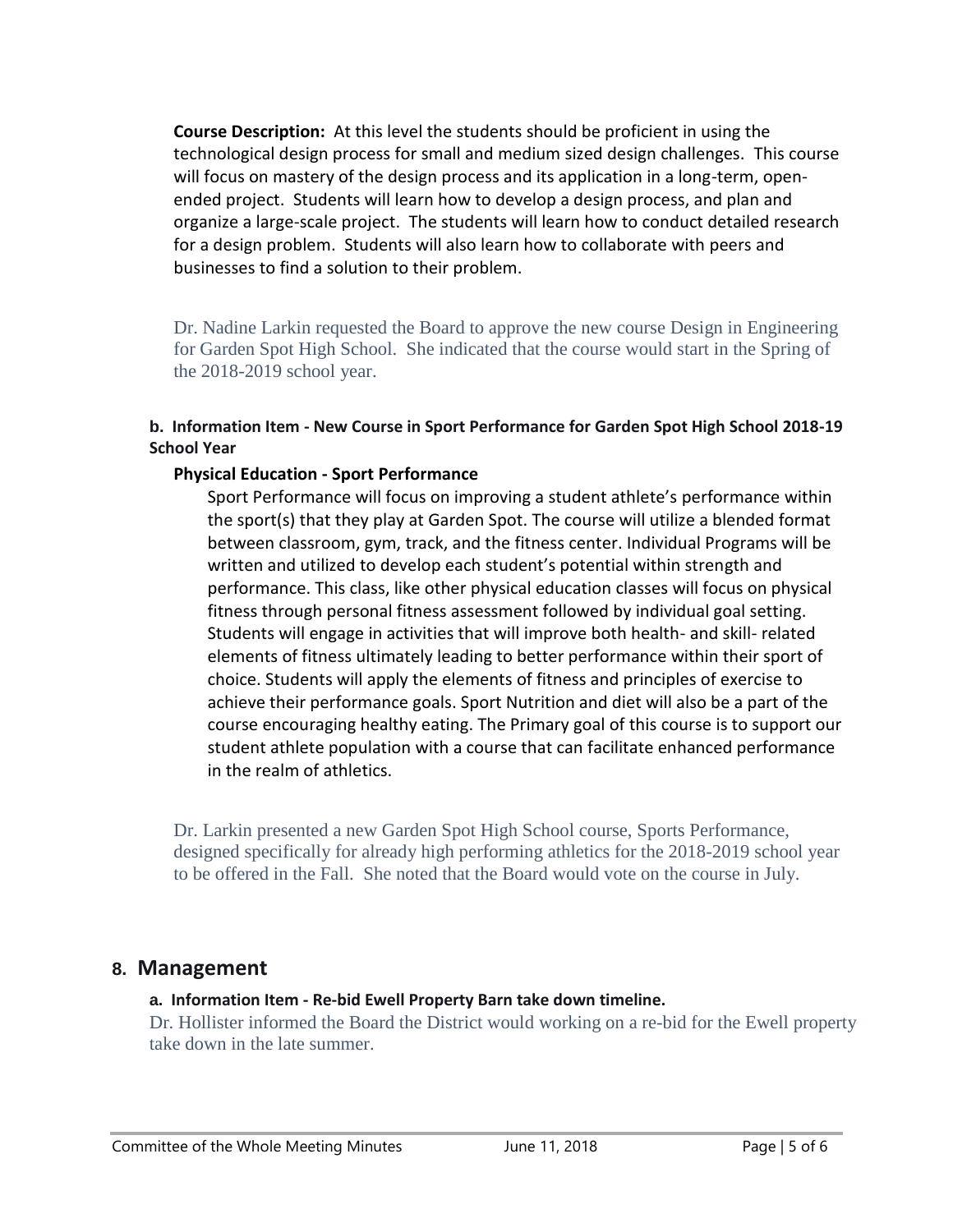**Course Description:** At this level the students should be proficient in using the technological design process for small and medium sized design challenges. This course will focus on mastery of the design process and its application in a long-term, openended project. Students will learn how to develop a design process, and plan and organize a large-scale project. The students will learn how to conduct detailed research for a design problem. Students will also learn how to collaborate with peers and businesses to find a solution to their problem.

Dr. Nadine Larkin requested the Board to approve the new course Design in Engineering for Garden Spot High School. She indicated that the course would start in the Spring of the 2018-2019 school year.

#### **b. Information Item - New Course in Sport Performance for Garden Spot High School 2018-19 School Year**

#### **Physical Education - Sport Performance**

Sport Performance will focus on improving a student athlete's performance within the sport(s) that they play at Garden Spot. The course will utilize a blended format between classroom, gym, track, and the fitness center. Individual Programs will be written and utilized to develop each student's potential within strength and performance. This class, like other physical education classes will focus on physical fitness through personal fitness assessment followed by individual goal setting. Students will engage in activities that will improve both health- and skill- related elements of fitness ultimately leading to better performance within their sport of choice. Students will apply the elements of fitness and principles of exercise to achieve their performance goals. Sport Nutrition and diet will also be a part of the course encouraging healthy eating. The Primary goal of this course is to support our student athlete population with a course that can facilitate enhanced performance in the realm of athletics.

Dr. Larkin presented a new Garden Spot High School course, Sports Performance, designed specifically for already high performing athletics for the 2018-2019 school year to be offered in the Fall. She noted that the Board would vote on the course in July.

### **8. Management**

#### **a. Information Item - Re-bid Ewell Property Barn take down timeline.**

Dr. Hollister informed the Board the District would working on a re-bid for the Ewell property take down in the late summer.